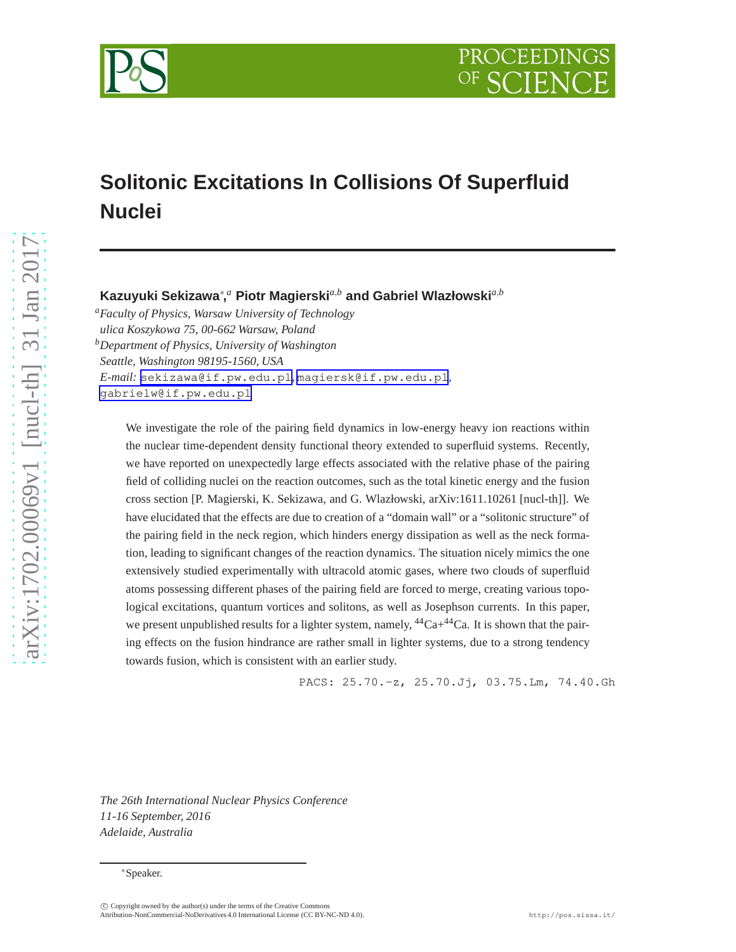

# **Solitonic Excitations In Collisions Of Superfluid Nuclei**

**Kazuyuki Sekizawa**<sup>∗</sup> **,** *<sup>a</sup>* **Piotr Magierski***a*,*<sup>b</sup>* **and Gabriel Wlazłowski***a*,*<sup>b</sup>*

*<sup>a</sup>Faculty of Physics, Warsaw University of Technology ulica Koszykowa 75, 00-662 Warsaw, Poland <sup>b</sup>Department of Physics, University of Washington Seattle, Washington 98195-1560, USA E-mail:* [sekizawa@if.pw.edu.pl](mailto:sekizawa@if.pw.edu.pl)*,* [magiersk@if.pw.edu.pl](mailto:magiersk@if.pw.edu.pl)*,* [gabrielw@if.pw.edu.pl](mailto:gabrielw@if.pw.edu.pl)

We investigate the role of the pairing field dynamics in low-energy heavy ion reactions within the nuclear time-dependent density functional theory extended to superfluid systems. Recently, we have reported on unexpectedly large effects associated with the relative phase of the pairing field of colliding nuclei on the reaction outcomes, such as the total kinetic energy and the fusion cross section [P. Magierski, K. Sekizawa, and G. Wlazłowski, arXiv:1611.10261 [nucl-th]]. We have elucidated that the effects are due to creation of a "domain wall" or a "solitonic structure" of the pairing field in the neck region, which hinders energy dissipation as well as the neck formation, leading to significant changes of the reaction dynamics. The situation nicely mimics the one extensively studied experimentally with ultracold atomic gases, where two clouds of superfluid atoms possessing different phases of the pairing field are forced to merge, creating various topological excitations, quantum vortices and solitons, as well as Josephson currents. In this paper, we present unpublished results for a lighter system, namely,  ${}^{44}Ca+{}^{44}Ca$ . It is shown that the pairing effects on the fusion hindrance are rather small in lighter systems, due to a strong tendency towards fusion, which is consistent with an earlier study.

PACS: 25.70.-z, 25.70.Jj, 03.75.Lm, 74.40.Gh

*The 26th International Nuclear Physics Conference 11-16 September, 2016 Adelaide, Australia*

<sup>∗</sup>Speaker.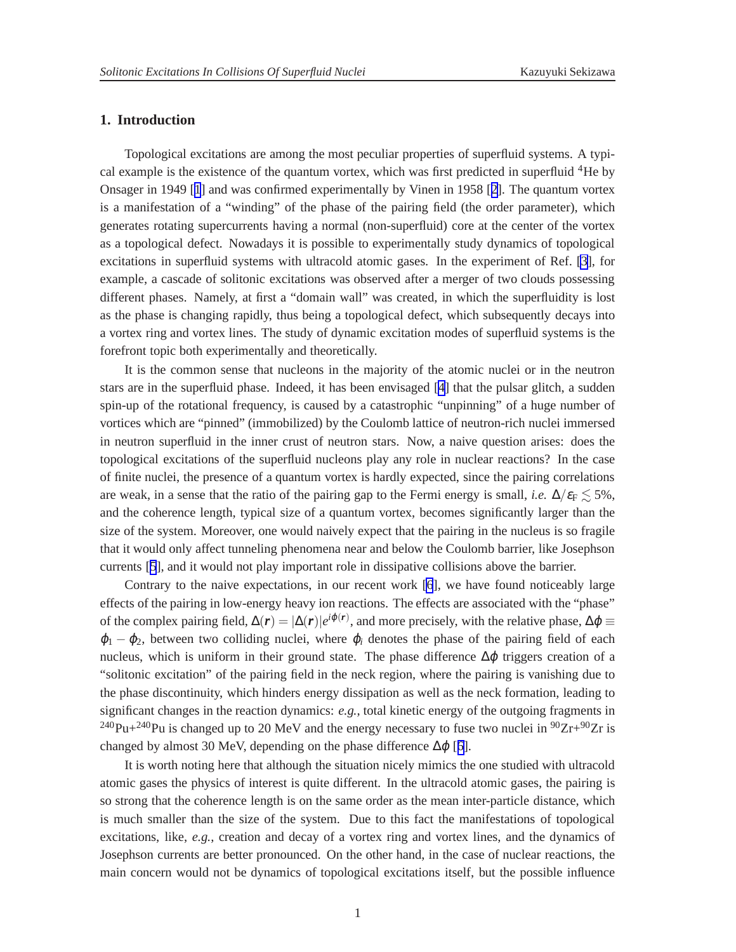### **1. Introduction**

Topological excitations are among the most peculiar properties of superfluid systems. A typical example is the existence of the quantum vortex, which was first predicted in superfluid  ${}^{4}$ He by Onsager in 1949 [[1](#page-6-0)] and was confirmed experimentally by Vinen in 1958 [[2](#page-6-0)]. The quantum vortex is a manifestation of a "winding" of the phase of the pairing field (the order parameter), which generates rotating supercurrents having a normal (non-superfluid) core at the center of the vortex as a topological defect. Nowadays it is possible to experimentally study dynamics of topological excitations in superfluid systems with ultracold atomic gases. In the experiment of Ref. [\[3](#page-6-0)], for example, a cascade of solitonic excitations was observed after a merger of two clouds possessing different phases. Namely, at first a "domain wall" was created, in which the superfluidity is lost as the phase is changing rapidly, thus being a topological defect, which subsequently decays into a vortex ring and vortex lines. The study of dynamic excitation modes of superfluid systems is the forefront topic both experimentally and theoretically.

It is the common sense that nucleons in the majority of the atomic nuclei or in the neutron stars are in the superfluid phase. Indeed, it has been envisaged [[4](#page-6-0)] that the pulsar glitch, a sudden spin-up of the rotational frequency, is caused by a catastrophic "unpinning" of a huge number of vortices which are "pinned" (immobilized) by the Coulomb lattice of neutron-rich nuclei immersed in neutron superfluid in the inner crust of neutron stars. Now, a naive question arises: does the topological excitations of the superfluid nucleons play any role in nuclear reactions? In the case of finite nuclei, the presence of a quantum vortex is hardly expected, since the pairing correlations are weak, in a sense that the ratio of the pairing gap to the Fermi energy is small, *i.e.*  $\Delta/\varepsilon_F \lesssim 5\%$ , and the coherence length, typical size of a quantum vortex, becomes significantly larger than the size of the system. Moreover, one would naively expect that the pairing in the nucleus is so fragile that it would only affect tunneling phenomena near and below the Coulomb barrier, like Josephson currents [[5](#page-6-0)], and it would not play important role in dissipative collisions above the barrier.

Contrary to the naive expectations, in our recent work [\[6](#page-6-0)], we have found noticeably large effects of the pairing in low-energy heavy ion reactions. The effects are associated with the "phase" of the complex pairing field,  $\Delta(r) = |\Delta(r)|e^{i\varphi(r)}$ , and more precisely, with the relative phase,  $\Delta\varphi \equiv$  $\varphi_1 - \varphi_2$ , between two colliding nuclei, where  $\varphi_i$  denotes the phase of the pairing field of each nucleus, which is uniform in their ground state. The phase difference  $\Delta\varphi$  triggers creation of a "solitonic excitation" of the pairing field in the neck region, where the pairing is vanishing due to the phase discontinuity, which hinders energy dissipation as well as the neck formation, leading to significant changes in the reaction dynamics: *e.g.*, total kinetic energy of the outgoing fragments in <sup>240</sup>Pu+<sup>240</sup>Pu is changed up to 20 MeV and the energy necessary to fuse two nuclei in <sup>90</sup>Zr+<sup>90</sup>Zr is changed by almost 30 MeV, depending on the phase difference  $\Delta \varphi$  [[6](#page-6-0)].

It is worth noting here that although the situation nicely mimics the one studied with ultracold atomic gases the physics of interest is quite different. In the ultracold atomic gases, the pairing is so strong that the coherence length is on the same order as the mean inter-particle distance, which is much smaller than the size of the system. Due to this fact the manifestations of topological excitations, like, *e.g.*, creation and decay of a vortex ring and vortex lines, and the dynamics of Josephson currents are better pronounced. On the other hand, in the case of nuclear reactions, the main concern would not be dynamics of topological excitations itself, but the possible influence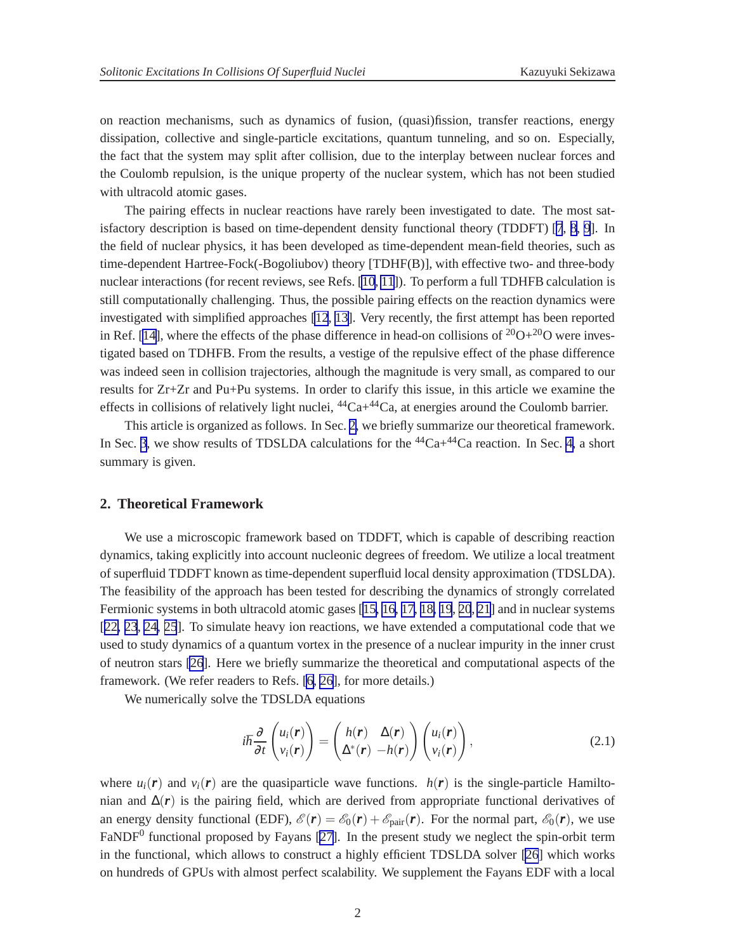on reaction mechanisms, such as dynamics of fusion, (quasi)fission, transfer reactions, energy dissipation, collective and single-particle excitations, quantum tunneling, and so on. Especially, the fact that the system may split after collision, due to the interplay between nuclear forces and the Coulomb repulsion, is the unique property of the nuclear system, which has not been studied with ultracold atomic gases.

The pairing effects in nuclear reactions have rarely been investigated to date. The most satisfactory description is based on time-dependent density functional theory (TDDFT) [\[7](#page-6-0), [8, 9](#page-6-0)]. In the field of nuclear physics, it has been developed as time-dependent mean-field theories, such as time-dependent Hartree-Fock(-Bogoliubov) theory [TDHF(B)], with effective two- and three-body nuclear interactions (for recent reviews, see Refs. [\[10](#page-6-0), [11](#page-6-0)]). To perform a full TDHFB calculation is still computationally challenging. Thus, the possible pairing effects on the reaction dynamics were investigated with simplified approaches [\[12](#page-6-0), [13\]](#page-6-0). Very recently, the first attempt has been reported in Ref. [[14\]](#page-6-0), where the effects of the phase difference in head-on collisions of  $20O+20O$  were investigated based on TDHFB. From the results, a vestige of the repulsive effect of the phase difference was indeed seen in collision trajectories, although the magnitude is very small, as compared to our results for Zr+Zr and Pu+Pu systems. In order to clarify this issue, in this article we examine the effects in collisions of relatively light nuclei,  ${}^{44}Ca+{}^{44}Ca$ , at energies around the Coulomb barrier.

This article is organized as follows. In Sec. 2, we briefly summarize our theoretical framework. In Sec. [3](#page-4-0), we show results of TDSLDA calculations for the  ${}^{44}Ca+{}^{44}Ca$  reaction. In Sec. [4,](#page-5-0) a short summary is given.

### **2. Theoretical Framework**

We use a microscopic framework based on TDDFT, which is capable of describing reaction dynamics, taking explicitly into account nucleonic degrees of freedom. We utilize a local treatment of superfluid TDDFT known as time-dependent superfluid local density approximation (TDSLDA). The feasibility of the approach has been tested for describing the dynamics of strongly correlated Fermionic systems in both ultracold atomic gases [\[15, 16, 17, 18, 19](#page-7-0), [20](#page-7-0), [21](#page-7-0)] and in nuclear systems [[22, 23](#page-7-0), [24, 25](#page-7-0)]. To simulate heavy ion reactions, we have extended a computational code that we used to study dynamics of a quantum vortex in the presence of a nuclear impurity in the inner crust of neutron stars [\[26](#page-7-0)]. Here we briefly summarize the theoretical and computational aspects of the framework. (We refer readers to Refs. [\[6,](#page-6-0) [26](#page-7-0)], for more details.)

We numerically solve the TDSLDA equations

$$
i\hbar \frac{\partial}{\partial t} \begin{pmatrix} u_i(\mathbf{r}) \\ v_i(\mathbf{r}) \end{pmatrix} = \begin{pmatrix} h(\mathbf{r}) & \Delta(\mathbf{r}) \\ \Delta^*(\mathbf{r}) & -h(\mathbf{r}) \end{pmatrix} \begin{pmatrix} u_i(\mathbf{r}) \\ v_i(\mathbf{r}) \end{pmatrix}, \tag{2.1}
$$

where  $u_i(\mathbf{r})$  and  $v_i(\mathbf{r})$  are the quasiparticle wave functions.  $h(\mathbf{r})$  is the single-particle Hamiltonian and  $\Delta(r)$  is the pairing field, which are derived from appropriate functional derivatives of an energy density functional (EDF),  $\mathscr{E}(\mathbf{r}) = \mathscr{E}_0(\mathbf{r}) + \mathscr{E}_{pair}(\mathbf{r})$ . For the normal part,  $\mathscr{E}_0(\mathbf{r})$ , we use FaNDF<sup>0</sup> functional proposed by Fayans [\[27](#page-7-0)]. In the present study we neglect the spin-orbit term in the functional, which allows to construct a highly efficient TDSLDA solver [\[26](#page-7-0)] which works on hundreds of GPUs with almost perfect scalability. We supplement the Fayans EDF with a local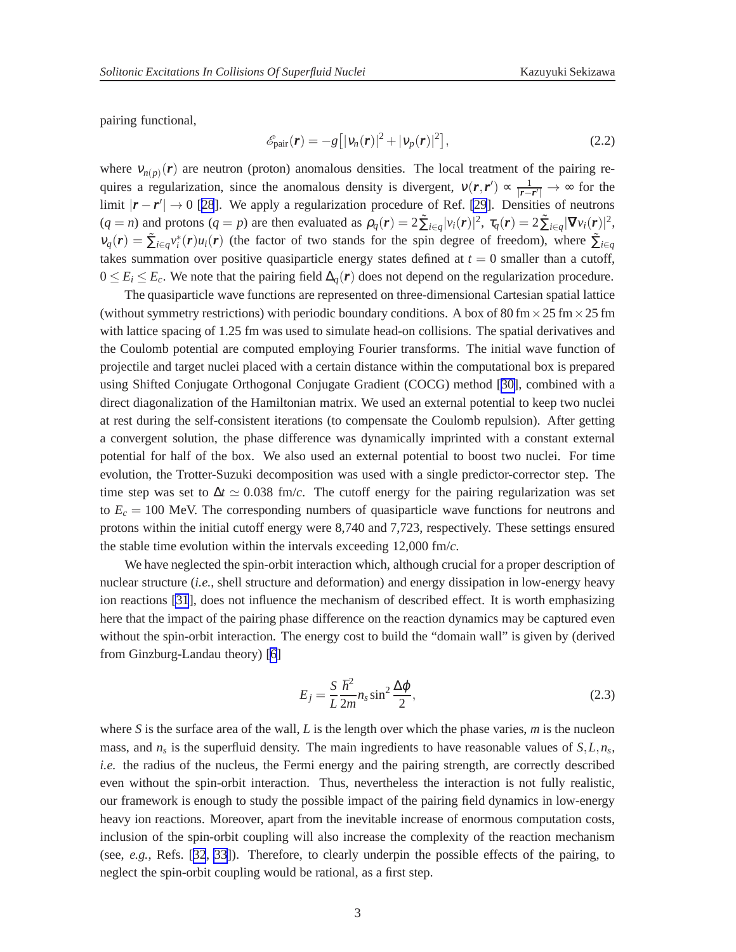<span id="page-3-0"></span>pairing functional,

$$
\mathcal{E}_{\text{pair}}(\boldsymbol{r}) = -g\left[|\boldsymbol{v}_n(\boldsymbol{r})|^2 + |\boldsymbol{v}_p(\boldsymbol{r})|^2\right],\tag{2.2}
$$

where  $v_{n(p)}(\mathbf{r})$  are neutron (proton) anomalous densities. The local treatment of the pairing requires a regularization, since the anomalous density is divergent,  $v(r, r') \propto \frac{1}{r}$  $\frac{1}{|\mathbf{r}-\mathbf{r}'|}$  → ∞ for the limit  $|\mathbf{r} - \mathbf{r}'| \to 0$  [[28](#page-7-0)]. We apply a regularization procedure of Ref. [\[29](#page-7-0)]. Densities of neutrons  $(q = n)$  and protons  $(q = p)$  are then evaluated as  $\rho_q(\mathbf{r}) = 2 \tilde{\sum}_{i \in q} |v_i(\mathbf{r})|^2$ ,  $\tau_q(\mathbf{r}) = 2 \tilde{\sum}_{i \in q} |\nabla v_i(\mathbf{r})|^2$ ,  $v_q(r) = \sum_{i \in q} v_i^*(r) u_i(r)$  (the factor of two stands for the spin degree of freedom), where  $\sum_{i \in q} v_i^*(r) u_i(r)$ takes summation over positive quasiparticle energy states defined at  $t = 0$  smaller than a cutoff,  $0 \le E_i \le E_c$ . We note that the pairing field  $\Delta_q(r)$  does not depend on the regularization procedure.

The quasiparticle wave functions are represented on three-dimensional Cartesian spatial lattice (without symmetry restrictions) with periodic boundary conditions. A box of 80 fm  $\times$  25 fm  $\times$  25 fm with lattice spacing of 1.25 fm was used to simulate head-on collisions. The spatial derivatives and the Coulomb potential are computed employing Fourier transforms. The initial wave function of projectile and target nuclei placed with a certain distance within the computational box is prepared using Shifted Conjugate Orthogonal Conjugate Gradient (COCG) method [\[30\]](#page-7-0), combined with a direct diagonalization of the Hamiltonian matrix. We used an external potential to keep two nuclei at rest during the self-consistent iterations (to compensate the Coulomb repulsion). After getting a convergent solution, the phase difference was dynamically imprinted with a constant external potential for half of the box. We also used an external potential to boost two nuclei. For time evolution, the Trotter-Suzuki decomposition was used with a single predictor-corrector step. The time step was set to  $\Delta t \simeq 0.038$  fm/*c*. The cutoff energy for the pairing regularization was set to  $E_c = 100$  MeV. The corresponding numbers of quasiparticle wave functions for neutrons and protons within the initial cutoff energy were 8,740 and 7,723, respectively. These settings ensured the stable time evolution within the intervals exceeding 12,000 fm/*c*.

We have neglected the spin-orbit interaction which, although crucial for a proper description of nuclear structure (*i.e.*, shell structure and deformation) and energy dissipation in low-energy heavy ion reactions [\[31](#page-7-0)], does not influence the mechanism of described effect. It is worth emphasizing here that the impact of the pairing phase difference on the reaction dynamics may be captured even without the spin-orbit interaction. The energy cost to build the "domain wall" is given by (derived from Ginzburg-Landau theory) [\[6](#page-6-0)]

$$
E_j = \frac{S}{L} \frac{\hbar^2}{2m} n_s \sin^2 \frac{\Delta \varphi}{2},
$$
\n(2.3)

where *S* is the surface area of the wall, *L* is the length over which the phase varies, *m* is the nucleon mass, and  $n_s$  is the superfluid density. The main ingredients to have reasonable values of  $S$ , $L$ , $n_s$ , *i.e.* the radius of the nucleus, the Fermi energy and the pairing strength, are correctly described even without the spin-orbit interaction. Thus, nevertheless the interaction is not fully realistic, our framework is enough to study the possible impact of the pairing field dynamics in low-energy heavy ion reactions. Moreover, apart from the inevitable increase of enormous computation costs, inclusion of the spin-orbit coupling will also increase the complexity of the reaction mechanism (see, *e.g.*, Refs. [[32](#page-7-0), [33](#page-7-0)]). Therefore, to clearly underpin the possible effects of the pairing, to neglect the spin-orbit coupling would be rational, as a first step.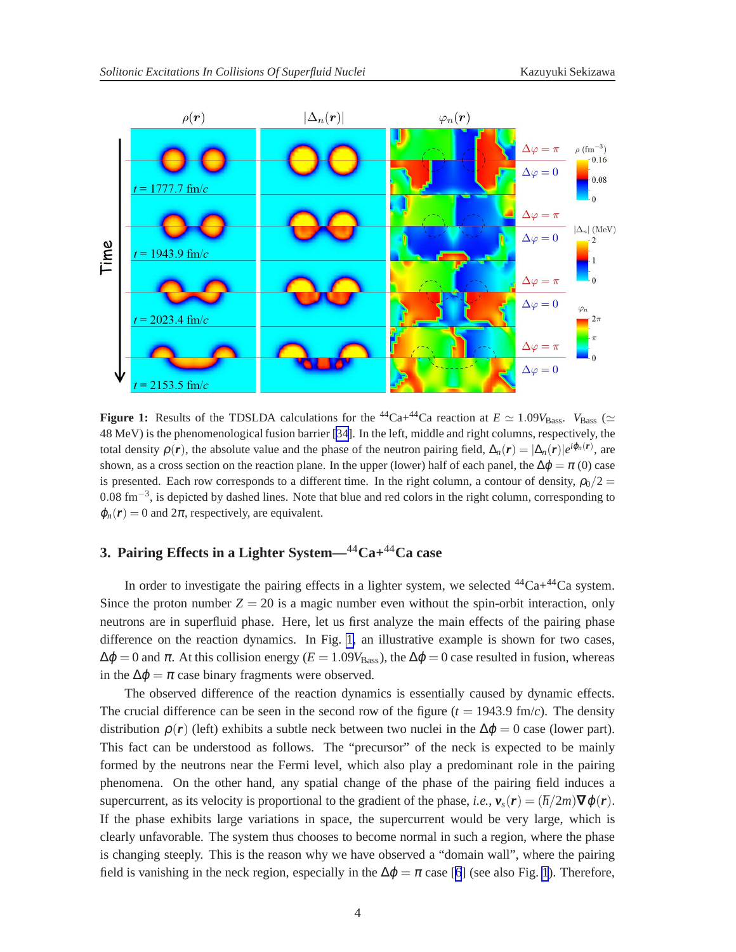<span id="page-4-0"></span>

**Figure 1:** Results of the TDSLDA calculations for the <sup>44</sup>Ca+<sup>44</sup>Ca reaction at  $E \simeq 1.09V_{\text{Bass}}$ .  $V_{\text{Bass}} \simeq$ 48 MeV) is the phenomenological fusion barrier [[34\]](#page-7-0). In the left, middle and right columns, respectively, the total density  $\rho(r)$ , the absolute value and the phase of the neutron pairing field,  $\Delta_n(r) = |\Delta_n(r)|e^{i\phi_n(r)}$ , are shown, as a cross section on the reaction plane. In the upper (lower) half of each panel, the  $\Delta\varphi = \pi$  (0) case is presented. Each row corresponds to a different time. In the right column, a contour of density,  $\rho_0/2 =$ 0.08 fm<sup>-3</sup>, is depicted by dashed lines. Note that blue and red colors in the right column, corresponding to  $\varphi_n(\mathbf{r}) = 0$  and  $2\pi$ , respectively, are equivalent.

## **3. Pairing Effects in a Lighter System—**44**Ca+**44**Ca case**

In order to investigate the pairing effects in a lighter system, we selected  ${}^{44}Ca+{}^{44}Ca$  system. Since the proton number  $Z = 20$  is a magic number even without the spin-orbit interaction, only neutrons are in superfluid phase. Here, let us first analyze the main effects of the pairing phase difference on the reaction dynamics. In Fig. 1, an illustrative example is shown for two cases,  $\Delta \phi = 0$  and  $\pi$ . At this collision energy ( $E = 1.09V_{\text{Bass}}$ ), the  $\Delta \phi = 0$  case resulted in fusion, whereas in the  $\Delta \varphi = \pi$  case binary fragments were observed.

The observed difference of the reaction dynamics is essentially caused by dynamic effects. The crucial difference can be seen in the second row of the figure  $(t = 1943.9 \text{ fm/c})$ . The density distribution  $\rho(r)$  (left) exhibits a subtle neck between two nuclei in the  $\Delta\varphi = 0$  case (lower part). This fact can be understood as follows. The "precursor" of the neck is expected to be mainly formed by the neutrons near the Fermi level, which also play a predominant role in the pairing phenomena. On the other hand, any spatial change of the phase of the pairing field induces a supercurrent, as its velocity is proportional to the gradient of the phase, *i.e.*,  $v_s(r) = (\hbar/2m)\nabla\varphi(r)$ . If the phase exhibits large variations in space, the supercurrent would be very large, which is clearly unfavorable. The system thus chooses to become normal in such a region, where the phase is changing steeply. This is the reason why we have observed a "domain wall", where the pairing field is vanishing in the neck region, especially in the  $\Delta \varphi = \pi$  case [[6](#page-6-0)] (see also Fig. 1). Therefore,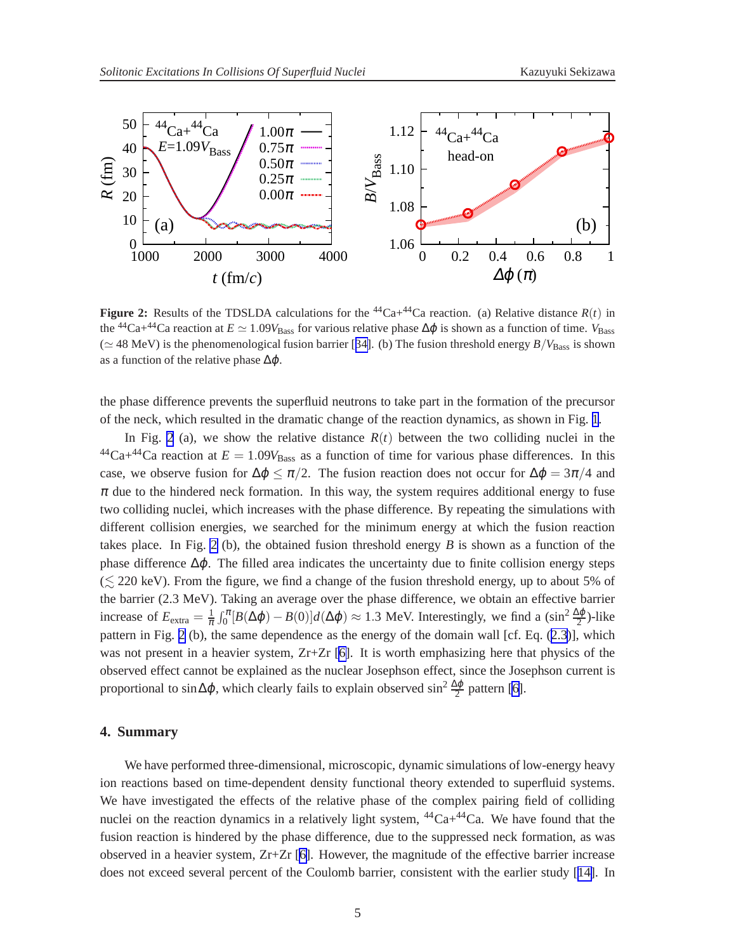<span id="page-5-0"></span>

**Figure 2:** Results of the TDSLDA calculations for the <sup>44</sup>Ca+<sup>44</sup>Ca reaction. (a) Relative distance  $R(t)$  in the <sup>44</sup>Ca+<sup>44</sup>Ca reaction at  $E \simeq 1.09V_{\text{Bass}}$  for various relative phase  $\Delta\varphi$  is shown as a function of time.  $V_{\text{Bass}}$ (≃ 48 MeV) is the phenomenological fusion barrier [[34\]](#page-7-0). (b) The fusion threshold energy *B*/*V*Bass is shown as a function of the relative phase  $\Delta\varphi$ .

the phase difference prevents the superfluid neutrons to take part in the formation of the precursor of the neck, which resulted in the dramatic change of the reaction dynamics, as shown in Fig. [1](#page-4-0).

In Fig. 2 (a), we show the relative distance  $R(t)$  between the two colliding nuclei in the  $^{44}Ca+^{44}Ca$  reaction at  $E = 1.09V_{Bass}$  as a function of time for various phase differences. In this case, we observe fusion for  $\Delta \varphi \leq \pi/2$ . The fusion reaction does not occur for  $\Delta \varphi = 3\pi/4$  and  $\pi$  due to the hindered neck formation. In this way, the system requires additional energy to fuse two colliding nuclei, which increases with the phase difference. By repeating the simulations with different collision energies, we searched for the minimum energy at which the fusion reaction takes place. In Fig. 2 (b), the obtained fusion threshold energy *B* is shown as a function of the phase difference  $\Delta \varphi$ . The filled area indicates the uncertainty due to finite collision energy steps  $(\leq 220 \text{ keV})$ . From the figure, we find a change of the fusion threshold energy, up to about 5% of the barrier (2.3 MeV). Taking an average over the phase difference, we obtain an effective barrier increase of  $E_{\text{extra}} = \frac{1}{\pi} \int_0^{\pi} [B(\Delta \varphi) - B(0)] d(\Delta \varphi) \approx 1.3 \text{ MeV. Interestingly, we find a } (\sin^2 \frac{\Delta \varphi}{2})$ -like pattern in Fig. 2 (b), the same dependence as the energy of the domain wall [cf. Eq. ([2.3](#page-3-0))], which was not present in a heavier system, Zr+Zr [\[6\]](#page-6-0). It is worth emphasizing here that physics of the observed effect cannot be explained as the nuclear Josephson effect, since the Josephson current is proportional to sin $\Delta\varphi$ , which clearly fails to explain observed sin<sup>2</sup>  $\frac{\Delta\varphi}{2}$  pattern [\[6\]](#page-6-0).

### **4. Summary**

We have performed three-dimensional, microscopic, dynamic simulations of low-energy heavy ion reactions based on time-dependent density functional theory extended to superfluid systems. We have investigated the effects of the relative phase of the complex pairing field of colliding nuclei on the reaction dynamics in a relatively light system,  $44Ca + 44Ca$ . We have found that the fusion reaction is hindered by the phase difference, due to the suppressed neck formation, as was observed in a heavier system,  $Zr+Zr$  [\[6\]](#page-6-0). However, the magnitude of the effective barrier increase does not exceed several percent of the Coulomb barrier, consistent with the earlier study [[14\]](#page-6-0). In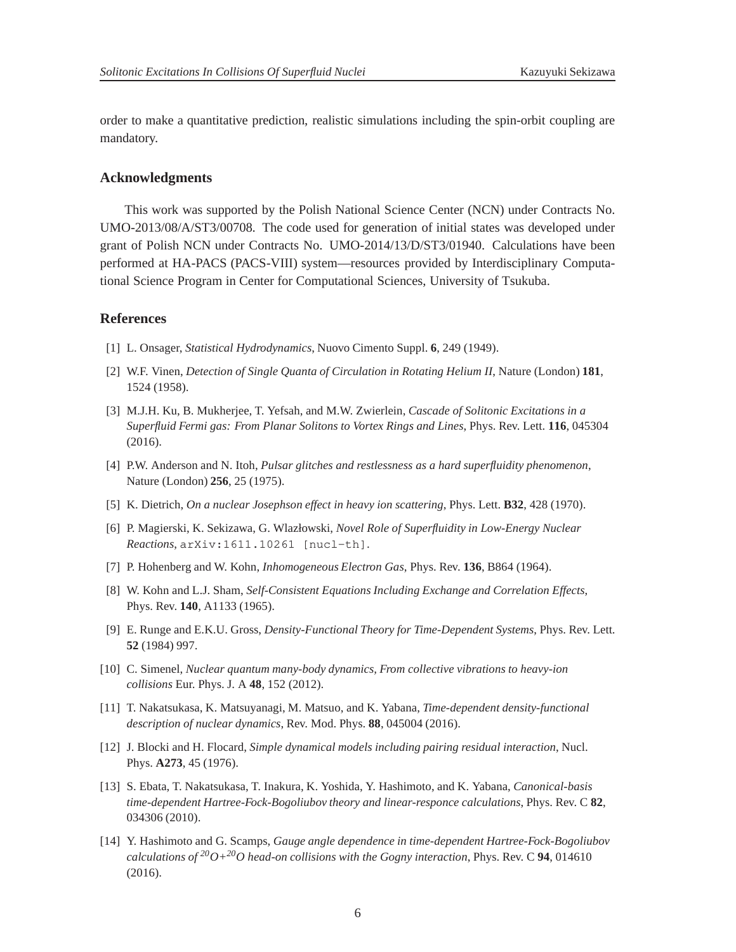<span id="page-6-0"></span>order to make a quantitative prediction, realistic simulations including the spin-orbit coupling are mandatory.

#### **Acknowledgments**

This work was supported by the Polish National Science Center (NCN) under Contracts No. UMO-2013/08/A/ST3/00708. The code used for generation of initial states was developed under grant of Polish NCN under Contracts No. UMO-2014/13/D/ST3/01940. Calculations have been performed at HA-PACS (PACS-VIII) system—resources provided by Interdisciplinary Computational Science Program in Center for Computational Sciences, University of Tsukuba.

### **References**

- [1] L. Onsager, *Statistical Hydrodynamics*, Nuovo Cimento Suppl. **6**, 249 (1949).
- [2] W.F. Vinen, *Detection of Single Quanta of Circulation in Rotating Helium II*, Nature (London) **181**, 1524 (1958).
- [3] M.J.H. Ku, B. Mukherjee, T. Yefsah, and M.W. Zwierlein, *Cascade of Solitonic Excitations in a Superfluid Fermi gas: From Planar Solitons to Vortex Rings and Lines*, Phys. Rev. Lett. **116**, 045304 (2016).
- [4] P.W. Anderson and N. Itoh, *Pulsar glitches and restlessness as a hard superfluidity phenomenon*, Nature (London) **256**, 25 (1975).
- [5] K. Dietrich, *On a nuclear Josephson effect in heavy ion scattering*, Phys. Lett. **B32**, 428 (1970).
- [6] P. Magierski, K. Sekizawa, G. Wlazłowski, *Novel Role of Superfluidity in Low-Energy Nuclear Reactions*, arXiv:1611.10261 [nucl-th].
- [7] P. Hohenberg and W. Kohn, *Inhomogeneous Electron Gas*, Phys. Rev. **136**, B864 (1964).
- [8] W. Kohn and L.J. Sham, *Self-Consistent Equations Including Exchange and Correlation Effects*, Phys. Rev. **140**, A1133 (1965).
- [9] E. Runge and E.K.U. Gross, *Density-Functional Theory for Time-Dependent Systems*, Phys. Rev. Lett. **52** (1984) 997.
- [10] C. Simenel, *Nuclear quantum many-body dynamics, From collective vibrations to heavy-ion collisions* Eur. Phys. J. A **48**, 152 (2012).
- [11] T. Nakatsukasa, K. Matsuyanagi, M. Matsuo, and K. Yabana, *Time-dependent density-functional description of nuclear dynamics*, Rev. Mod. Phys. **88**, 045004 (2016).
- [12] J. Blocki and H. Flocard, *Simple dynamical models including pairing residual interaction*, Nucl. Phys. **A273**, 45 (1976).
- [13] S. Ebata, T. Nakatsukasa, T. Inakura, K. Yoshida, Y. Hashimoto, and K. Yabana, *Canonical-basis time-dependent Hartree-Fock-Bogoliubov theory and linear-responce calculations*, Phys. Rev. C **82**, 034306 (2010).
- [14] Y. Hashimoto and G. Scamps, *Gauge angle dependence in time-dependent Hartree-Fock-Bogoliubov calculations of*  $2^{0}O+2^{0}O$  *head-on collisions with the Gogny interaction*, Phys. Rev. C **94**, 014610 (2016).